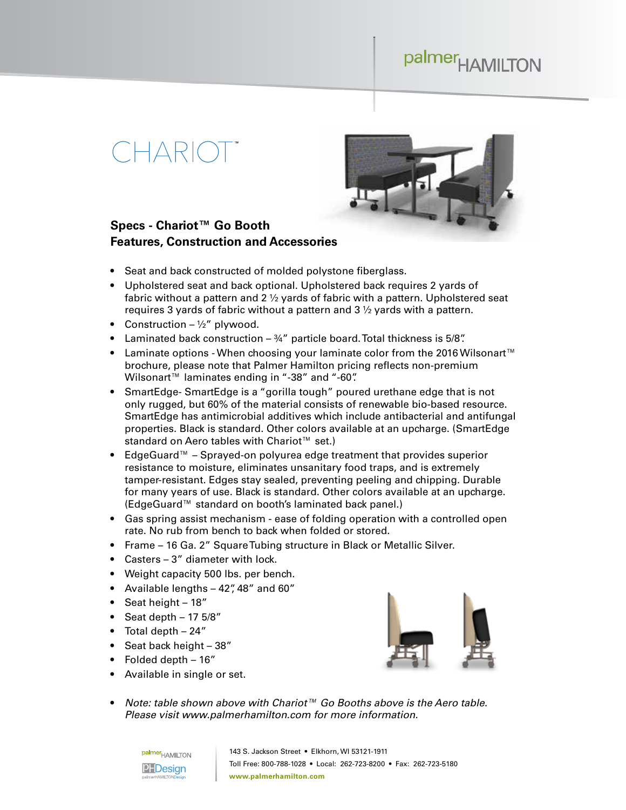### palmer<sub>HAMILTON</sub>

## $( H\Delta R(C)$



#### **Specs - Chariot™ Go Booth Features, Construction and Accessories**

- Seat and back constructed of molded polystone fiberglass.
- Upholstered seat and back optional. Upholstered back requires 2 yards of fabric without a pattern and 2 ½ yards of fabric with a pattern. Upholstered seat requires 3 yards of fabric without a pattern and 3 ½ yards with a pattern.
- Construction  $\frac{1}{2}$ " plywood.
- Laminated back construction  $-3/4$ " particle board. Total thickness is 5/8".
- Laminate options When choosing your laminate color from the 2016 Wilsonart™ brochure, please note that Palmer Hamilton pricing reflects non-premium Wilsonart™ laminates ending in "-38" and "-60".
- SmartEdge- SmartEdge is a "gorilla tough" poured urethane edge that is not only rugged, but 60% of the material consists of renewable bio-based resource. SmartEdge has antimicrobial additives which include antibacterial and antifungal properties. Black is standard. Other colors available at an upcharge. (SmartEdge standard on Aero tables with Chariot<sup>™</sup> set.)
- EdgeGuard™ Sprayed-on polyurea edge treatment that provides superior resistance to moisture, eliminates unsanitary food traps, and is extremely tamper-resistant. Edges stay sealed, preventing peeling and chipping. Durable for many years of use. Black is standard. Other colors available at an upcharge. (EdgeGuard™ standard on booth's laminated back panel.)
- Gas spring assist mechanism ease of folding operation with a controlled open rate. No rub from bench to back when folded or stored.
- Frame 16 Ga. 2" Square Tubing structure in Black or Metallic Silver.
- Casters 3" diameter with lock.
- Weight capacity 500 lbs. per bench.
- Available lengths 42", 48" and 60"
- Seat height 18"
- Seat depth  $-175/8"$
- Total depth 24"
- Seat back height 38"
- Folded depth 16"
- Available in single or set.



• *Note: table shown above with Chariot™ Go Booths above is the Aero table. Please visit www.palmerhamilton.com for more information.*

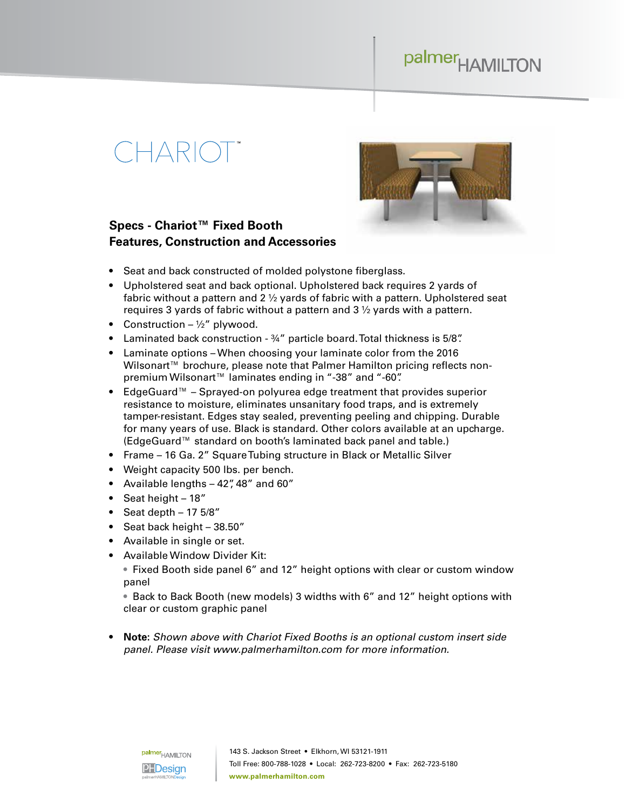### palmer<sub>HAMILTON</sub>

# $\exists \triangle R(C)$



#### **Specs - Chariot™ Fixed Booth Features, Construction and Accessories**

- Seat and back constructed of molded polystone fiberglass.
- Upholstered seat and back optional. Upholstered back requires 2 yards of fabric without a pattern and 2 ½ yards of fabric with a pattern. Upholstered seat requires 3 yards of fabric without a pattern and 3 ½ yards with a pattern.
- Construction  $\frac{1}{2}$ " plywood.
- Laminated back construction ¾" particle board. Total thickness is 5/8".
- Laminate options When choosing your laminate color from the 2016 Wilsonart<sup>™</sup> brochure, please note that Palmer Hamilton pricing reflects nonpremium Wilsonart<sup>™</sup> laminates ending in "-38" and "-60".
- EdgeGuard™ Sprayed-on polyurea edge treatment that provides superior resistance to moisture, eliminates unsanitary food traps, and is extremely tamper-resistant. Edges stay sealed, preventing peeling and chipping. Durable for many years of use. Black is standard. Other colors available at an upcharge. (EdgeGuard™ standard on booth's laminated back panel and table.)
- Frame 16 Ga. 2" Square Tubing structure in Black or Metallic Silver
- Weight capacity 500 lbs. per bench.
- Available lengths 42", 48" and 60"
- Seat height 18"
- Seat depth  $-175/8"$
- Seat back height 38.50"
- Available in single or set.
- Available Window Divider Kit:

• Fixed Booth side panel 6" and 12" height options with clear or custom window panel

• Back to Back Booth (new models) 3 widths with 6" and 12" height options with clear or custom graphic panel

• **Note:** *Shown above with Chariot Fixed Booths is an optional custom insert side panel. Please visit www.palmerhamilton.com for more information.*